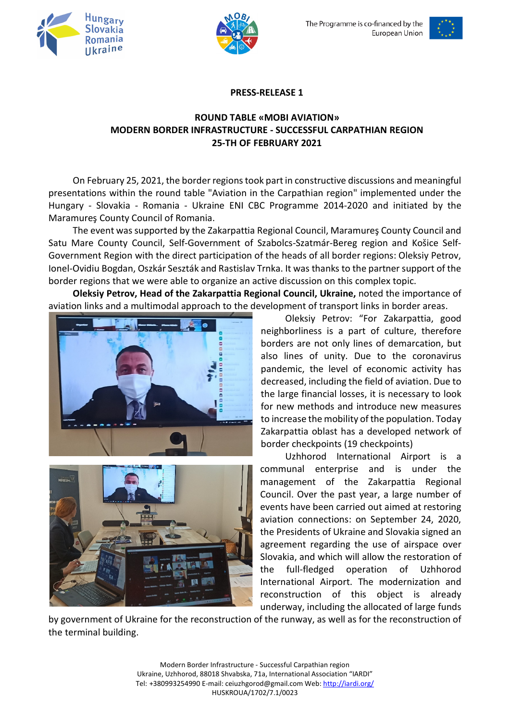





## **PRESS-RELEASE 1**

## **ROUND TABLE «MOBI AVIATION» MODERN BORDER INFRASTRUCTURE - SUCCESSFUL CARPATHIAN REGION 25-TH OF FEBRUARY 2021**

On February 25, 2021, the border regions took part in constructive discussions and meaningful presentations within the round table "Aviation in the Carpathian region" implemented under the Hungary - Slovakia - Romania - Ukraine ENI CBC Programme 2014-2020 and initiated by the Maramureş County Council of Romania.

The event was supported by the Zakarpattia Regional Council, Maramureş County Council and Satu Mare County Council, Self-Government of Szabolcs-Szatmár-Bereg region and Košice Self-Government Region with the direct participation of the heads of all border regions: Oleksiy Petrov, Ionel-Ovidiu Bogdan, Oszkár Seszták and Rastislav Trnka. It was thanks to the partner support of the border regions that we were able to organize an active discussion on this complex topic.

**Oleksiy Petrov, Head of the Zakarpattia Regional Council, Ukraine,** noted the importance of aviation links and a multimodal approach to the development of transport links in border areas.





Оleksiy Petrov: "For Zakarpattia, good neighborliness is a part of culture, therefore borders are not only lines of demarcation, but also lines of unity. Due to the coronavirus pandemic, the level of economic activity has decreased, including the field of aviation. Due to the large financial losses, it is necessary to look for new methods and introduce new measures to increase the mobility of the population. Today Zakarpattia oblast has a developed network of border checkpoints (19 checkpoints)

Uzhhorod International Airport is a communal enterprise and is under the management of the Zakarpattia Regional Council. Over the past year, a large number of events have been carried out aimed at restoring aviation connections: on September 24, 2020, the Presidents of Ukraine and Slovakia signed an agreement regarding the use of airspace over Slovakia, and which will allow the restoration of the full-fledged operation of Uzhhorod International Airport. The modernization and reconstruction of this object is already underway, including the allocated of large funds

by government of Ukraine for the reconstruction of the runway, as well as for the reconstruction of the terminal building.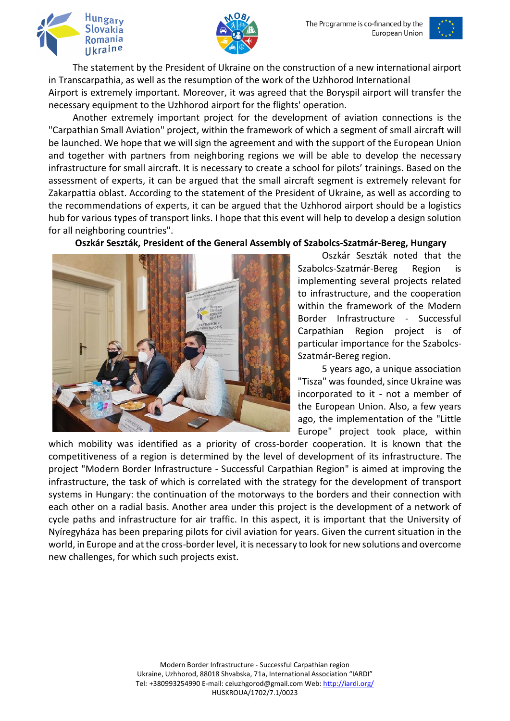



The statement by the President of Ukraine on the construction of a new international airport in Transcarpathia, as well as the resumption of the work of the Uzhhorod International

Airport is extremely important. Moreover, it was agreed that the Boryspil airport will transfer the necessary equipment to the Uzhhorod airport for the flights' operation.

Another extremely important project for the development of aviation connections is the "Carpathian Small Aviation" project, within the framework of which a segment of small aircraft will be launched. We hope that we will sign the agreement and with the support of the European Union and together with partners from neighboring regions we will be able to develop the necessary infrastructure for small aircraft. It is necessary to create a school for pilots' trainings. Based on the assessment of experts, it can be argued that the small aircraft segment is extremely relevant for Zakarpattia oblast. According to the statement of the President of Ukraine, as well as according to the recommendations of experts, it can be argued that the Uzhhorod airport should be a logistics hub for various types of transport links. I hope that this event will help to develop a design solution for all neighboring countries".

**Oszkár Seszták, President of the General Assembly of Szabolcs-Szatmár-Bereg, Hungary**



Oszkár Seszták noted that the Szabolcs-Szatmár-Bereg Region is implementing several projects related to infrastructure, and the cooperation within the framework of the Modern Border Infrastructure - Successful Carpathian Region project is of particular importance for the Szabolcs-Szatmár-Bereg region.

5 years ago, a unique association "Tisza" was founded, since Ukraine was incorporated to it - not a member of the European Union. Also, a few years ago, the implementation of the "Little Europe" project took place, within

which mobility was identified as a priority of cross-border cooperation. It is known that the competitiveness of a region is determined by the level of development of its infrastructure. The project "Modern Border Infrastructure - Successful Carpathian Region" is aimed at improving the infrastructure, the task of which is correlated with the strategy for the development of transport systems in Hungary: the continuation of the motorways to the borders and their connection with each other on a radial basis. Another area under this project is the development of a network of cycle paths and infrastructure for air traffic. In this aspect, it is important that the University of Nyíregyháza has been preparing pilots for civil aviation for years. Given the current situation in the world, in Europe and at the cross-border level, it is necessary to look for new solutions and overcome new challenges, for which such projects exist.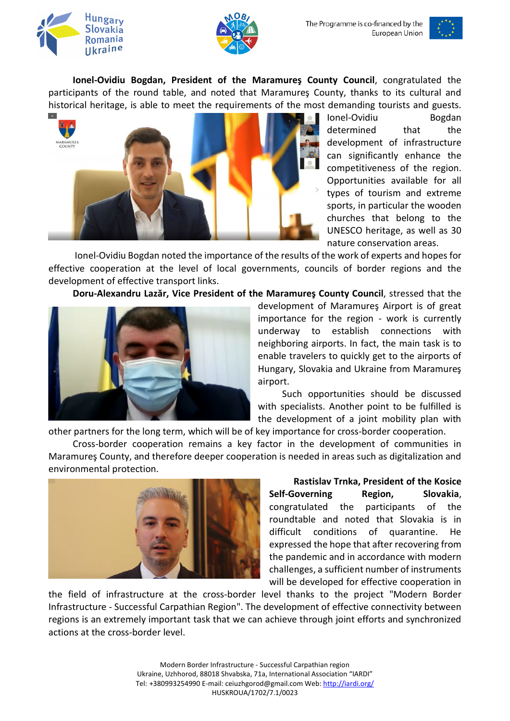



**Ionel-Ovidiu Bogdan, President of the Maramureş County Council**, congratulated the participants of the round table, and noted that Maramureş County, thanks to its cultural and historical heritage, is able to meet the requirements of the most demanding tourists and guests.



Ionel-Ovidiu Bogdan determined that the development of infrastructure can significantly enhance the competitiveness of the region. Opportunities available for all types of tourism and extreme sports, in particular the wooden churches that belong to the UNESCO heritage, as well as 30 nature conservation areas.

Ionel-Ovidiu Bogdan noted the importance of the results of the work of experts and hopes for effective cooperation at the level of local governments, councils of border regions and the development of effective transport links.

**Doru-Alexandru Lazăr, Vice President of the Maramureş County Council**, stressed that the



development of Maramureş Airport is of great importance for the region - work is currently underway to establish connections with neighboring airports. In fact, the main task is to enable travelers to quickly get to the airports of Hungary, Slovakia and Ukraine from Maramureş airport.

Such opportunities should be discussed with specialists. Another point to be fulfilled is the development of a joint mobility plan with

other partners for the long term, which will be of key importance for cross-border cooperation.

Cross-border cooperation remains a key factor in the development of communities in Maramureş County, and therefore deeper cooperation is needed in areas such as digitalization and environmental protection.



**Rastislav Trnka, President of the Kosice Self-Governing Region, Slovakia**, congratulated the participants of the roundtable and noted that Slovakia is in difficult conditions of quarantine. He expressed the hope that after recovering from the pandemic and in accordance with modern challenges, a sufficient number of instruments will be developed for effective cooperation in

the field of infrastructure at the cross-border level thanks to the project "Modern Border Infrastructure - Successful Carpathian Region". The development of effective connectivity between regions is an extremely important task that we can achieve through joint efforts and synchronized actions at the cross-border level.